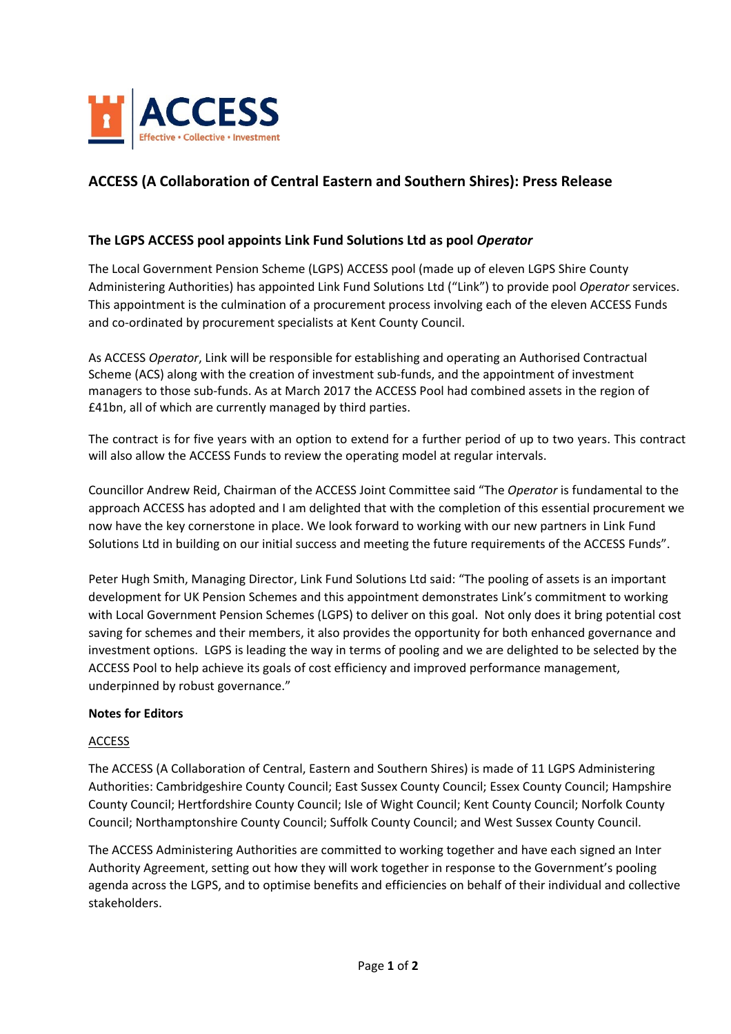

## **ACCESS (A Collaboration of Central Eastern and Southern Shires): Press Release**

## **The LGPS ACCESS pool appoints Link Fund Solutions Ltd as pool** *Operator*

The Local Government Pension Scheme (LGPS) ACCESS pool (made up of eleven LGPS Shire County Administering Authorities) has appointed Link Fund Solutions Ltd ("Link") to provide pool *Operator* services. This appointment is the culmination of a procurement process involving each of the eleven ACCESS Funds and co-ordinated by procurement specialists at Kent County Council.

As ACCESS *Operator*, Link will be responsible for establishing and operating an Authorised Contractual Scheme (ACS) along with the creation of investment sub-funds, and the appointment of investment managers to those sub‐funds. As at March 2017 the ACCESS Pool had combined assets in the region of £41bn, all of which are currently managed by third parties.

The contract is for five years with an option to extend for a further period of up to two years. This contract will also allow the ACCESS Funds to review the operating model at regular intervals.

Councillor Andrew Reid, Chairman of the ACCESS Joint Committee said "The *Operator* is fundamental to the approach ACCESS has adopted and I am delighted that with the completion of this essential procurement we now have the key cornerstone in place. We look forward to working with our new partners in Link Fund Solutions Ltd in building on our initial success and meeting the future requirements of the ACCESS Funds".

Peter Hugh Smith, Managing Director, Link Fund Solutions Ltd said: "The pooling of assets is an important development for UK Pension Schemes and this appointment demonstrates Link's commitment to working with Local Government Pension Schemes (LGPS) to deliver on this goal. Not only does it bring potential cost saving for schemes and their members, it also provides the opportunity for both enhanced governance and investment options. LGPS is leading the way in terms of pooling and we are delighted to be selected by the ACCESS Pool to help achieve its goals of cost efficiency and improved performance management, underpinned by robust governance."

## **Notes for Editors**

## **ACCESS**

The ACCESS (A Collaboration of Central, Eastern and Southern Shires) is made of 11 LGPS Administering Authorities: Cambridgeshire County Council; East Sussex County Council; Essex County Council; Hampshire County Council; Hertfordshire County Council; Isle of Wight Council; Kent County Council; Norfolk County Council; Northamptonshire County Council; Suffolk County Council; and West Sussex County Council.

The ACCESS Administering Authorities are committed to working together and have each signed an Inter Authority Agreement, setting out how they will work together in response to the Government's pooling agenda across the LGPS, and to optimise benefits and efficiencies on behalf of their individual and collective stakeholders.